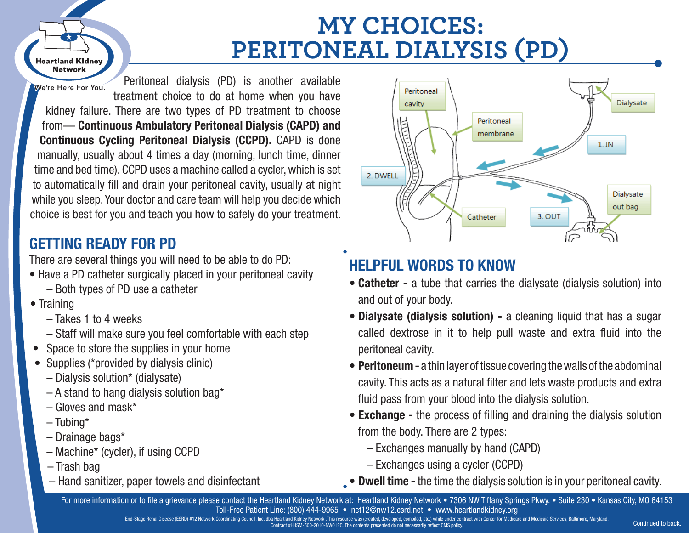### **MY CHOICES: PERITONEAL DIALYSIS (PD)** *the solution of the solution of the solution of the solution of the solution of the solution of the solution of the solution of the solution of the solution of the solution of the solution of the solution of the solution*

We're Here For You.

**Heartland Kidnev Network** 

o Exchanges in the CAPD

treatment choice to do at home when you have There are two types of PD treatment to choose **the Continuous Ambulatory Peritoneal Dialysis (CAPD) and continuous Cycling Peritoneal Dialysis (CCPD).** CAPD is done manually, usually about 4 times a day (morning, lunch time, dinner time and bed time). CCPD uses a machine called a cycler, which is set to automatically fill and drain your peritoneal cavity, usually at night while you sleep. Your doctor and care team will help you decide which  $\blacksquare$  choice is best for you and teach you how to safely do your treatment.  $\begin{array}{|c|c|c|}\n\hline\n\hline\n\end{array}$  indiudily, usual<br>time and hed tire

Peritoneal dialysis (PD) is another available

# **GETTING READY FOR PD**

There are several things you will need to be able to do PD:

- Have a PD catheter surgically placed in your peritoneal cavity – Both types of PD use a catheter e Training<br> **Control Control Control Control Control Control Control Control Control Control Control Control Control Control Control Control Control Control Control Control Control**
	- Training
- Takes 1 to 4 weeks and the state of the state of the state of the state of the state of the state of the state of the state of the state of the state of the state of the state of the state of the state of the state of the state of the state
- Staff will make sure you feel comfortable with each step  $\blacksquare$  Moreon to a state  $\blacksquare$ 
	- Space to store the supplies in your home
- Supplies (\*provided by dialysis clinic)<br>
 Supplies (\*provided by dialysis clinic)
	- Dialysis solution\* (dialysate)
- A stand to hang dialysis solution bag\* and to hang dialysis solution bay<br>
any of the canonic state of the states of the canonic state of the capacity of the capacity of the capacity of the capacity of the capacity of the capacity of the capacity of the capacity
	- Gloves and mask\*
- $-$  Tubing\* **Except Contact Contact Contact Contact Contact Contact Contact Contact Contact Contact Contact Contact Contact Contact Contact Contact Contact Contact Contact Contact Contact Contact Contact Contact Contact Contact Contac** 
	- Drainage bags\*
	- Machine\* (cycler), if using CCPD
	- Trash bag
	- Hand sanitizer, paper towels and disinfectant



# **HELPFUL WORDS TO KNOW**

- **Catheter -** a tube that carries the dialysate (dialysis solution) into and out of your body.
- **Dialysate (dialysis solution) -** a cleaning liquid that has a sugar called dextrose in it to help pull waste and extra fluid into the peritoneal cavity.
- **Peritoneum -** a thin layer of tissue covering the walls of the abdominal cavity. This acts as a natural filter and lets waste products and extra fluid pass from your blood into the dialysis solution.
- **Exchange -** the process of filling and draining the dialysis solution from the body. There are 2 types:
- $\blacksquare$   $\blacksquare$   $\blacksquare$   $\blacksquare$   $\blacksquare$   $\blacksquare$   $\blacksquare$   $\blacksquare$   $\blacksquare$   $\blacksquare$   $\blacksquare$   $\blacksquare$   $\blacksquare$   $\blacksquare$   $\blacksquare$   $\blacksquare$   $\blacksquare$   $\blacksquare$   $\blacksquare$   $\blacksquare$   $\blacksquare$   $\blacksquare$   $\blacksquare$   $\blacksquare$   $\blacksquare$   $\blacksquare$   $\blacksquare$   $\blacksquare$   $\blacksquare$   $\blacksquare$   $\blacksquare$   $\blacks$ 
	- Exchanges using a cycler (CCPD)
	- **Dwell time -** the time the dialysis solution is in your peritoneal cavity.

For more information or to file a grievance please contact the Heartland Kidney Network at: Heartland Kidney Network • 7306 NW Tiffany Springs Pkwy. • Suite 230 • Kansas City, MO 64153 Toll-Free Patient Line: (800) 444-9965 • net12@nw12.esrd.net • www.heartlandkidney.org

> End-Stage Renal Disease (ESRD) #12 Network Coordinating Council, Inc. dba Heartland Kidney Network . This resource was (created, developed, compiled, etc.) while under contract with Center for Medicare and Medicaid Service Contract #HHSM-500-2010-NW012C. The contents presented do not necessarily reflect CMS policy.